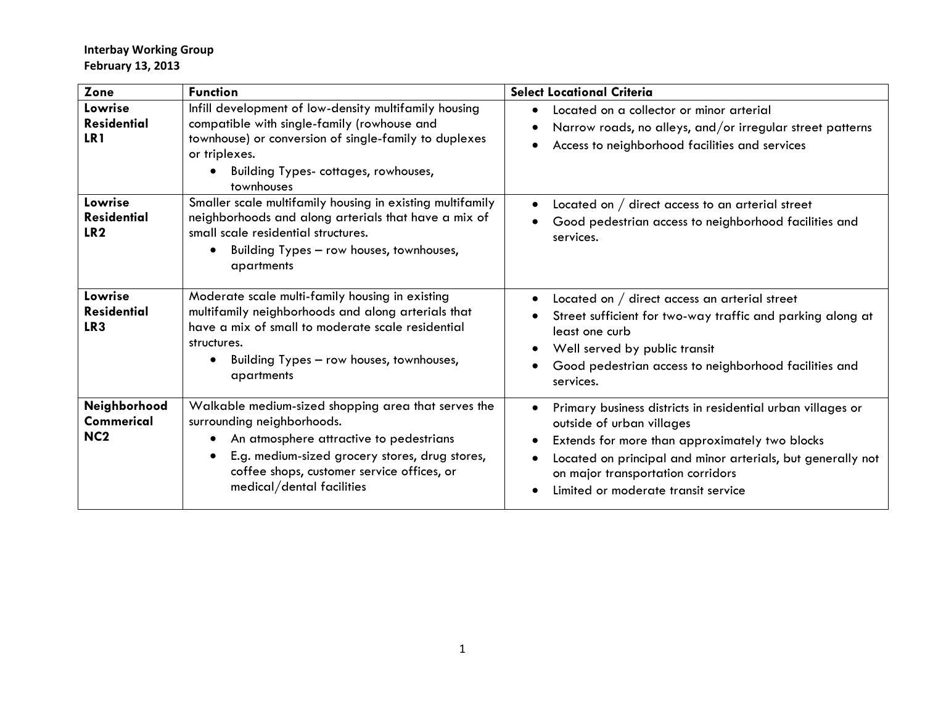| Zone                                             | <b>Function</b>                                                                                                                                                                                                                                                                     | <b>Select Locational Criteria</b>                                                                                                                                                                                                                                                     |  |  |  |  |  |
|--------------------------------------------------|-------------------------------------------------------------------------------------------------------------------------------------------------------------------------------------------------------------------------------------------------------------------------------------|---------------------------------------------------------------------------------------------------------------------------------------------------------------------------------------------------------------------------------------------------------------------------------------|--|--|--|--|--|
| Lowrise<br><b>Residential</b><br>LR <sub>1</sub> | Infill development of low-density multifamily housing<br>compatible with single-family (rowhouse and<br>townhouse) or conversion of single-family to duplexes<br>or triplexes.<br>Building Types- cottages, rowhouses,<br>$\bullet$<br>townhouses                                   | Located on a collector or minor arterial<br>Narrow roads, no alleys, and/or irregular street patterns<br>Access to neighborhood facilities and services                                                                                                                               |  |  |  |  |  |
| Lowrise<br><b>Residential</b><br>LR <sub>2</sub> | Smaller scale multifamily housing in existing multifamily<br>neighborhoods and along arterials that have a mix of<br>small scale residential structures.<br>Building Types - row houses, townhouses,<br>apartments                                                                  | Located on $/$ direct access to an arterial street<br>Good pedestrian access to neighborhood facilities and<br>services.                                                                                                                                                              |  |  |  |  |  |
| Lowrise<br><b>Residential</b><br>LR <sub>3</sub> | Moderate scale multi-family housing in existing<br>multifamily neighborhoods and along arterials that<br>have a mix of small to moderate scale residential<br>structures.<br>Building Types - row houses, townhouses,<br>$\bullet$<br>apartments                                    | Located on / direct access an arterial street<br>Street sufficient for two-way traffic and parking along at<br>least one curb<br>Well served by public transit<br>Good pedestrian access to neighborhood facilities and<br>services.                                                  |  |  |  |  |  |
| Neighborhood<br>Commerical<br>NC <sub>2</sub>    | Walkable medium-sized shopping area that serves the<br>surrounding neighborhoods.<br>An atmosphere attractive to pedestrians<br>$\bullet$<br>E.g. medium-sized grocery stores, drug stores,<br>$\bullet$<br>coffee shops, customer service offices, or<br>medical/dental facilities | Primary business districts in residential urban villages or<br>outside of urban villages<br>Extends for more than approximately two blocks<br>Located on principal and minor arterials, but generally not<br>on major transportation corridors<br>Limited or moderate transit service |  |  |  |  |  |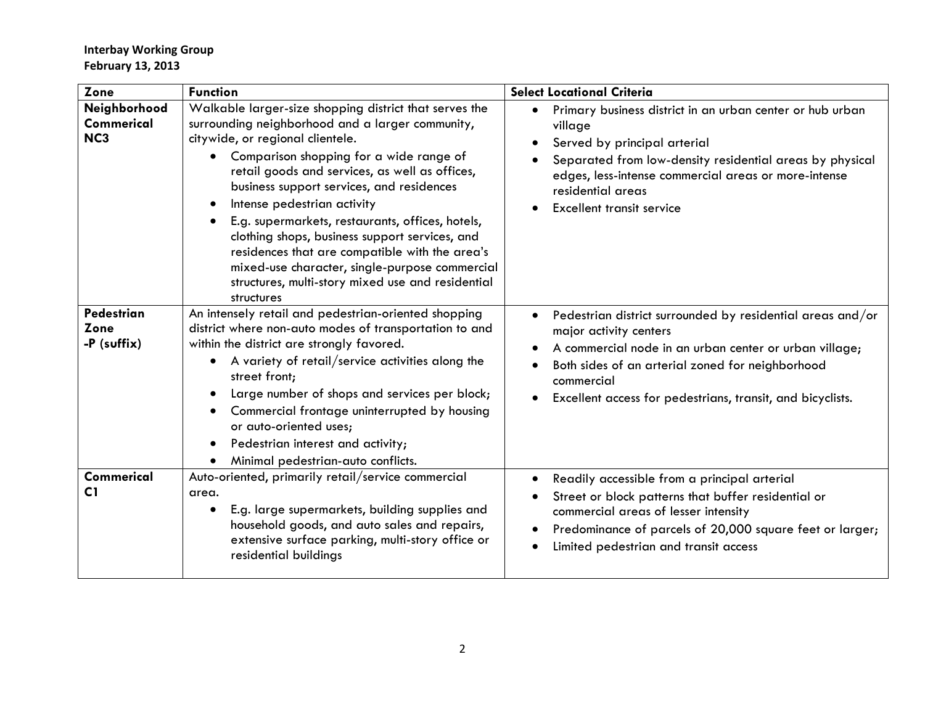| Zone                                          | <b>Function</b>                                                                                                                                                                                                                                                                                                                                                                                                                                                                                                                                                                                                                | <b>Select Locational Criteria</b>                                                                                                                                                                                                                                              |  |  |  |  |  |
|-----------------------------------------------|--------------------------------------------------------------------------------------------------------------------------------------------------------------------------------------------------------------------------------------------------------------------------------------------------------------------------------------------------------------------------------------------------------------------------------------------------------------------------------------------------------------------------------------------------------------------------------------------------------------------------------|--------------------------------------------------------------------------------------------------------------------------------------------------------------------------------------------------------------------------------------------------------------------------------|--|--|--|--|--|
| Neighborhood<br>Commerical<br>NC <sub>3</sub> | Walkable larger-size shopping district that serves the<br>surrounding neighborhood and a larger community,<br>citywide, or regional clientele.<br>Comparison shopping for a wide range of<br>$\bullet$<br>retail goods and services, as well as offices,<br>business support services, and residences<br>Intense pedestrian activity<br>$\bullet$<br>E.g. supermarkets, restaurants, offices, hotels,<br>clothing shops, business support services, and<br>residences that are compatible with the area's<br>mixed-use character, single-purpose commercial<br>structures, multi-story mixed use and residential<br>structures | Primary business district in an urban center or hub urban<br>village<br>Served by principal arterial<br>Separated from low-density residential areas by physical<br>edges, less-intense commercial areas or more-intense<br>residential areas<br>Excellent transit service     |  |  |  |  |  |
| <b>Pedestrian</b><br>Zone<br>-P (suffix)      | An intensely retail and pedestrian-oriented shopping<br>district where non-auto modes of transportation to and<br>within the district are strongly favored.<br>A variety of retail/service activities along the<br>$\bullet$<br>street front;<br>Large number of shops and services per block;<br>$\bullet$<br>Commercial frontage uninterrupted by housing<br>or auto-oriented uses;<br>Pedestrian interest and activity;<br>$\bullet$<br>Minimal pedestrian-auto conflicts.                                                                                                                                                  | Pedestrian district surrounded by residential areas and/or<br>major activity centers<br>A commercial node in an urban center or urban village;<br>Both sides of an arterial zoned for neighborhood<br>commercial<br>Excellent access for pedestrians, transit, and bicyclists. |  |  |  |  |  |
| <b>Commerical</b><br>C1                       | Auto-oriented, primarily retail/service commercial<br>area.<br>E.g. large supermarkets, building supplies and<br>$\bullet$<br>household goods, and auto sales and repairs,<br>extensive surface parking, multi-story office or<br>residential buildings                                                                                                                                                                                                                                                                                                                                                                        | Readily accessible from a principal arterial<br>Street or block patterns that buffer residential or<br>commercial areas of lesser intensity<br>Predominance of parcels of 20,000 square feet or larger;<br>Limited pedestrian and transit access                               |  |  |  |  |  |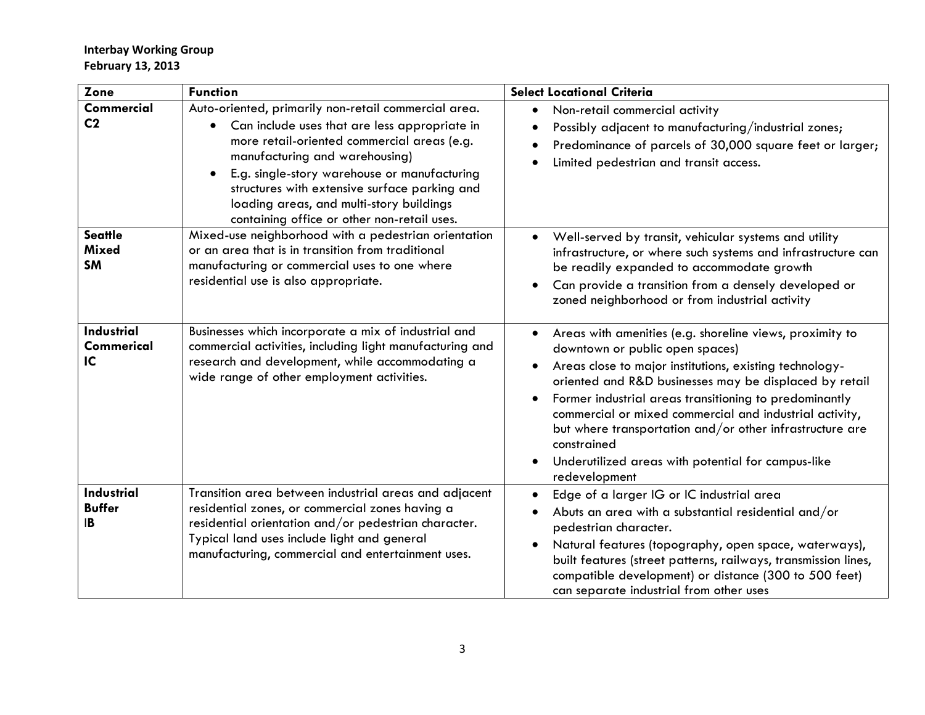| Zone                                        | <b>Function</b>                                                                                                                                                                                                                                                                                                                                                                                              | <b>Select Locational Criteria</b>                                                                                                                                                                                                                                                                                                                                                                                                                                                       |  |  |  |  |
|---------------------------------------------|--------------------------------------------------------------------------------------------------------------------------------------------------------------------------------------------------------------------------------------------------------------------------------------------------------------------------------------------------------------------------------------------------------------|-----------------------------------------------------------------------------------------------------------------------------------------------------------------------------------------------------------------------------------------------------------------------------------------------------------------------------------------------------------------------------------------------------------------------------------------------------------------------------------------|--|--|--|--|
| <b>Commercial</b><br>C <sub>2</sub>         | Auto-oriented, primarily non-retail commercial area.<br>Can include uses that are less appropriate in<br>$\bullet$<br>more retail-oriented commercial areas (e.g.<br>manufacturing and warehousing)<br>E.g. single-story warehouse or manufacturing<br>$\bullet$<br>structures with extensive surface parking and<br>loading areas, and multi-story buildings<br>containing office or other non-retail uses. | Non-retail commercial activity<br>$\bullet$<br>Possibly adjacent to manufacturing/industrial zones;<br>Predominance of parcels of 30,000 square feet or larger;<br>Limited pedestrian and transit access.                                                                                                                                                                                                                                                                               |  |  |  |  |
| <b>Seattle</b><br><b>Mixed</b><br><b>SM</b> | Mixed-use neighborhood with a pedestrian orientation<br>or an area that is in transition from traditional<br>manufacturing or commercial uses to one where<br>residential use is also appropriate.                                                                                                                                                                                                           | Well-served by transit, vehicular systems and utility<br>infrastructure, or where such systems and infrastructure can<br>be readily expanded to accommodate growth<br>Can provide a transition from a densely developed or<br>zoned neighborhood or from industrial activity                                                                                                                                                                                                            |  |  |  |  |
| <b>Industrial</b><br>Commerical<br>IC       | Businesses which incorporate a mix of industrial and<br>commercial activities, including light manufacturing and<br>research and development, while accommodating a<br>wide range of other employment activities.                                                                                                                                                                                            | Areas with amenities (e.g. shoreline views, proximity to<br>downtown or public open spaces)<br>Areas close to major institutions, existing technology-<br>oriented and R&D businesses may be displaced by retail<br>Former industrial areas transitioning to predominantly<br>commercial or mixed commercial and industrial activity,<br>but where transportation and/or other infrastructure are<br>constrained<br>Underutilized areas with potential for campus-like<br>redevelopment |  |  |  |  |
| Industrial<br><b>Buffer</b><br><b>IB</b>    | Transition area between industrial areas and adjacent<br>residential zones, or commercial zones having a<br>residential orientation and/or pedestrian character.<br>Typical land uses include light and general<br>manufacturing, commercial and entertainment uses.                                                                                                                                         | Edge of a larger IG or IC industrial area<br>Abuts an area with a substantial residential and/or<br>pedestrian character.<br>Natural features (topography, open space, waterways),<br>built features (street patterns, railways, transmission lines,<br>compatible development) or distance (300 to 500 feet)<br>can separate industrial from other uses                                                                                                                                |  |  |  |  |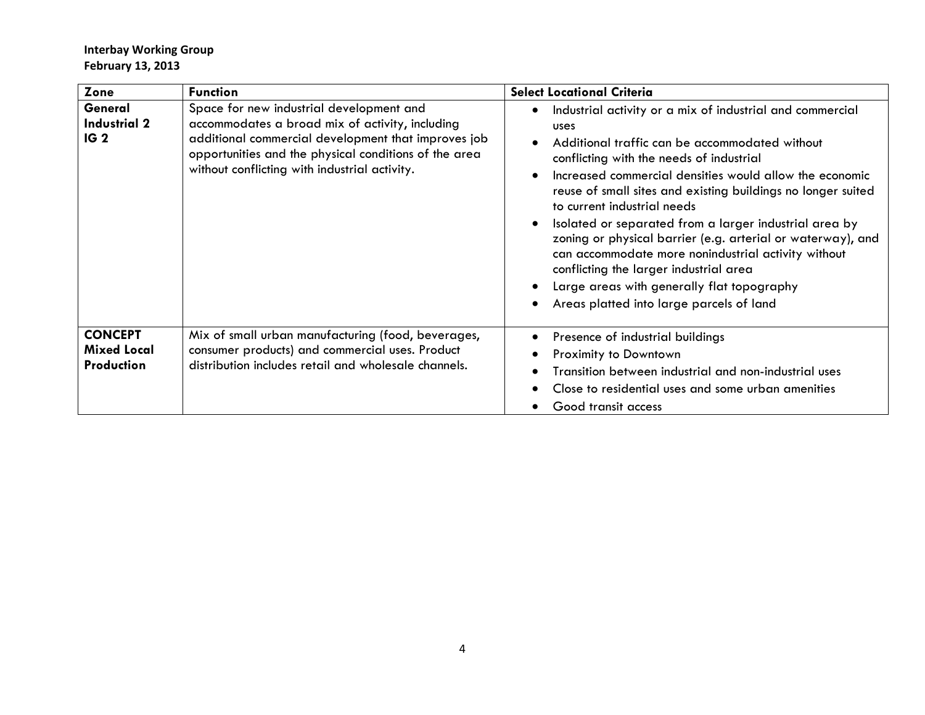| Zone                                               | <b>Function</b>                                                                                                                                                                                                                                              | <b>Select Locational Criteria</b>                                                                                                                                                                                                                                                                                                                                                                                                                                                                                                                                                                                                                                 |  |  |  |  |
|----------------------------------------------------|--------------------------------------------------------------------------------------------------------------------------------------------------------------------------------------------------------------------------------------------------------------|-------------------------------------------------------------------------------------------------------------------------------------------------------------------------------------------------------------------------------------------------------------------------------------------------------------------------------------------------------------------------------------------------------------------------------------------------------------------------------------------------------------------------------------------------------------------------------------------------------------------------------------------------------------------|--|--|--|--|
| General<br><b>Industrial 2</b><br>IG <sub>2</sub>  | Space for new industrial development and<br>accommodates a broad mix of activity, including<br>additional commercial development that improves job<br>opportunities and the physical conditions of the area<br>without conflicting with industrial activity. | Industrial activity or a mix of industrial and commercial<br>$\bullet$<br><b>USCS</b><br>Additional traffic can be accommodated without<br>conflicting with the needs of industrial<br>Increased commercial densities would allow the economic<br>reuse of small sites and existing buildings no longer suited<br>to current industrial needs<br>Isolated or separated from a larger industrial area by<br>zoning or physical barrier (e.g. arterial or waterway), and<br>can accommodate more nonindustrial activity without<br>conflicting the larger industrial area<br>Large areas with generally flat topography<br>Areas platted into large parcels of land |  |  |  |  |
| <b>CONCEPT</b><br><b>Mixed Local</b><br>Production | Mix of small urban manufacturing (food, beverages,<br>consumer products) and commercial uses. Product<br>distribution includes retail and wholesale channels.                                                                                                | Presence of industrial buildings<br>Proximity to Downtown<br>Transition between industrial and non-industrial uses<br>Close to residential uses and some urban amenities<br>Good transit access                                                                                                                                                                                                                                                                                                                                                                                                                                                                   |  |  |  |  |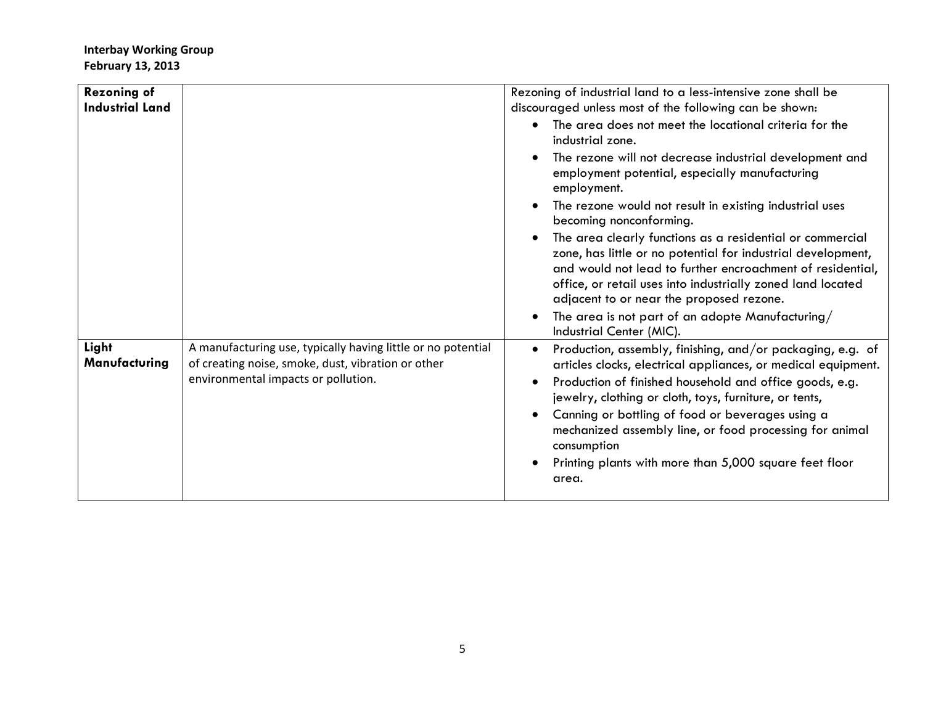|                                                                                                                                                           | Rezoning of industrial land to a less-intensive zone shall be                                                                                                                                                                                                                                                                                                                                                                                     |  |  |  |  |  |
|-----------------------------------------------------------------------------------------------------------------------------------------------------------|---------------------------------------------------------------------------------------------------------------------------------------------------------------------------------------------------------------------------------------------------------------------------------------------------------------------------------------------------------------------------------------------------------------------------------------------------|--|--|--|--|--|
|                                                                                                                                                           | discouraged unless most of the following can be shown:                                                                                                                                                                                                                                                                                                                                                                                            |  |  |  |  |  |
|                                                                                                                                                           | The area does not meet the locational criteria for the<br>industrial zone.                                                                                                                                                                                                                                                                                                                                                                        |  |  |  |  |  |
|                                                                                                                                                           | The rezone will not decrease industrial development and<br>employment potential, especially manufacturing<br>employment.                                                                                                                                                                                                                                                                                                                          |  |  |  |  |  |
|                                                                                                                                                           | The rezone would not result in existing industrial uses<br>becoming nonconforming.                                                                                                                                                                                                                                                                                                                                                                |  |  |  |  |  |
|                                                                                                                                                           | The area clearly functions as a residential or commercial<br>zone, has little or no potential for industrial development,<br>and would not lead to further encroachment of residential,<br>office, or retail uses into industrially zoned land located<br>adjacent to or near the proposed rezone.                                                                                                                                                |  |  |  |  |  |
|                                                                                                                                                           | The area is not part of an adopte Manufacturing/<br>Industrial Center (MIC).                                                                                                                                                                                                                                                                                                                                                                      |  |  |  |  |  |
| A manufacturing use, typically having little or no potential<br>of creating noise, smoke, dust, vibration or other<br>environmental impacts or pollution. | Production, assembly, finishing, and/or packaging, e.g. of<br>articles clocks, electrical appliances, or medical equipment.<br>Production of finished household and office goods, e.g.<br>jewelry, clothing or cloth, toys, furniture, or tents,<br>Canning or bottling of food or beverages using a<br>mechanized assembly line, or food processing for animal<br>consumption<br>Printing plants with more than 5,000 square feet floor<br>area. |  |  |  |  |  |
|                                                                                                                                                           |                                                                                                                                                                                                                                                                                                                                                                                                                                                   |  |  |  |  |  |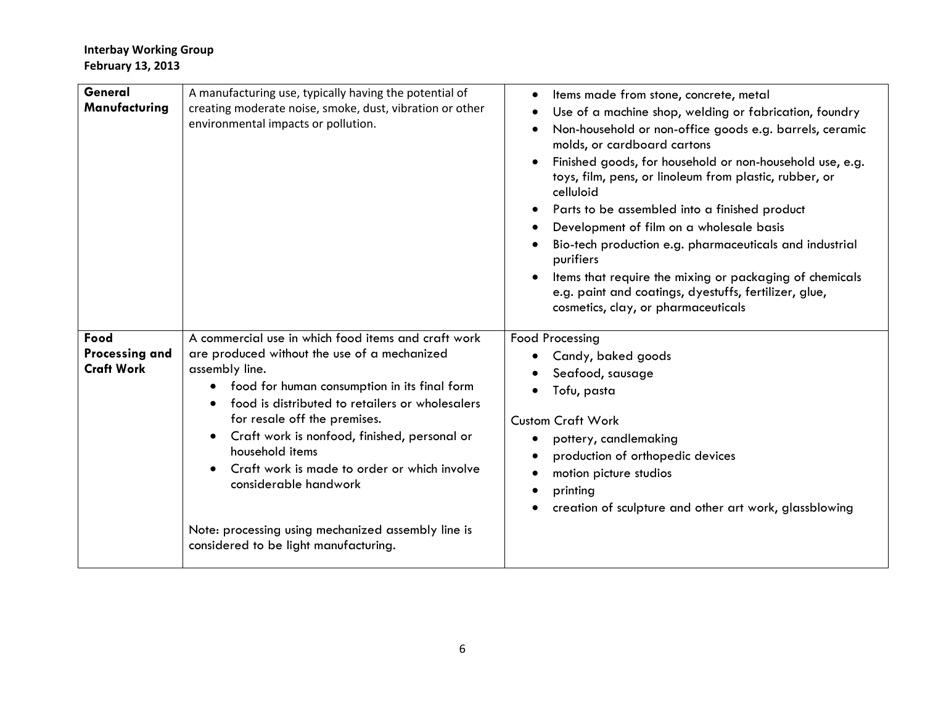| General<br>Manufacturing                           | A manufacturing use, typically having the potential of<br>creating moderate noise, smoke, dust, vibration or other<br>environmental impacts or pollution.                                                                                                                                                                                                                                                                                                                                                                     | Items made from stone, concrete, metal<br>Use of a machine shop, welding or fabrication, foundry<br>Non-household or non-office goods e.g. barrels, ceramic<br>molds, or cardboard cartons<br>Finished goods, for household or non-household use, e.g.<br>toys, film, pens, or linoleum from plastic, rubber, or<br>celluloid<br>Parts to be assembled into a finished product<br>Development of film on a wholesale basis<br>Bio-tech production e.g. pharmaceuticals and industrial<br>purifiers<br>Items that require the mixing or packaging of chemicals<br>e.g. paint and coatings, dyestuffs, fertilizer, glue,<br>cosmetics, clay, or pharmaceuticals |  |  |  |  |
|----------------------------------------------------|-------------------------------------------------------------------------------------------------------------------------------------------------------------------------------------------------------------------------------------------------------------------------------------------------------------------------------------------------------------------------------------------------------------------------------------------------------------------------------------------------------------------------------|---------------------------------------------------------------------------------------------------------------------------------------------------------------------------------------------------------------------------------------------------------------------------------------------------------------------------------------------------------------------------------------------------------------------------------------------------------------------------------------------------------------------------------------------------------------------------------------------------------------------------------------------------------------|--|--|--|--|
| Food<br><b>Processing and</b><br><b>Craft Work</b> | A commercial use in which food items and craft work<br>are produced without the use of a mechanized<br>assembly line.<br>food for human consumption in its final form<br>$\bullet$<br>food is distributed to retailers or wholesalers<br>for resale off the premises.<br>Craft work is nonfood, finished, personal or<br>$\bullet$<br>household items<br>Craft work is made to order or which involve<br>considerable handwork<br>Note: processing using mechanized assembly line is<br>considered to be light manufacturing. | <b>Food Processing</b><br>Candy, baked goods<br>Seafood, sausage<br>Tofu, pasta<br><b>Custom Craft Work</b><br>pottery, candlemaking<br>production of orthopedic devices<br>motion picture studios<br>printing<br>creation of sculpture and other art work, glassblowing                                                                                                                                                                                                                                                                                                                                                                                      |  |  |  |  |